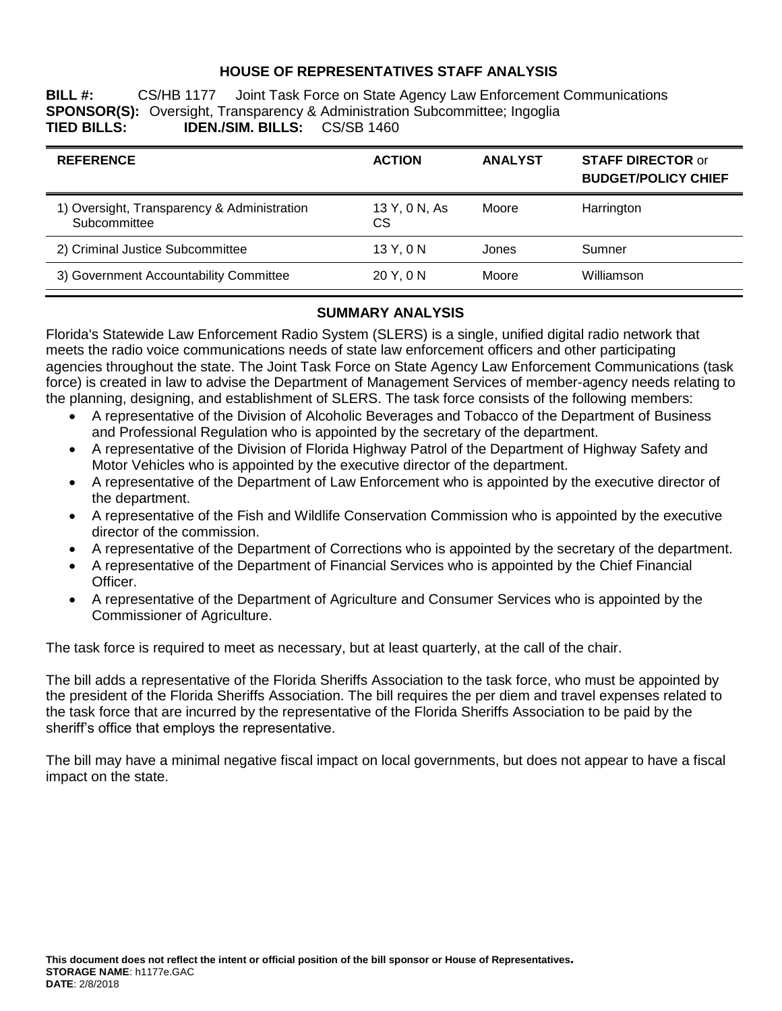## **HOUSE OF REPRESENTATIVES STAFF ANALYSIS**

**BILL #:** CS/HB 1177 Joint Task Force on State Agency Law Enforcement Communications **SPONSOR(S):** Oversight, Transparency & Administration Subcommittee; Ingoglia **TIED BILLS: IDEN./SIM. BILLS:** CS/SB 1460

| <b>REFERENCE</b>                                            | <b>ACTION</b>       | <b>ANALYST</b> | <b>STAFF DIRECTOR or</b><br><b>BUDGET/POLICY CHIEF</b> |
|-------------------------------------------------------------|---------------------|----------------|--------------------------------------------------------|
| 1) Oversight, Transparency & Administration<br>Subcommittee | 13 Y, 0 N, As<br>СS | Moore          | Harrington                                             |
| 2) Criminal Justice Subcommittee                            | 13 Y, 0 N           | Jones          | Sumner                                                 |
| 3) Government Accountability Committee                      | 20 Y, 0 N           | Moore          | Williamson                                             |

#### **SUMMARY ANALYSIS**

Florida's Statewide Law Enforcement Radio System (SLERS) is a single, unified digital radio network that meets the radio voice communications needs of state law enforcement officers and other participating agencies throughout the state. The Joint Task Force on State Agency Law Enforcement Communications (task force) is created in law to advise the Department of Management Services of member-agency needs relating to the planning, designing, and establishment of SLERS. The task force consists of the following members:

- A representative of the Division of Alcoholic Beverages and Tobacco of the Department of Business and Professional Regulation who is appointed by the secretary of the department.
- A representative of the Division of Florida Highway Patrol of the Department of Highway Safety and Motor Vehicles who is appointed by the executive director of the department.
- A representative of the Department of Law Enforcement who is appointed by the executive director of the department.
- A representative of the Fish and Wildlife Conservation Commission who is appointed by the executive director of the commission.
- A representative of the Department of Corrections who is appointed by the secretary of the department.
- A representative of the Department of Financial Services who is appointed by the Chief Financial Officer.
- A representative of the Department of Agriculture and Consumer Services who is appointed by the Commissioner of Agriculture.

The task force is required to meet as necessary, but at least quarterly, at the call of the chair.

The bill adds a representative of the Florida Sheriffs Association to the task force, who must be appointed by the president of the Florida Sheriffs Association. The bill requires the per diem and travel expenses related to the task force that are incurred by the representative of the Florida Sheriffs Association to be paid by the sheriff's office that employs the representative.

The bill may have a minimal negative fiscal impact on local governments, but does not appear to have a fiscal impact on the state.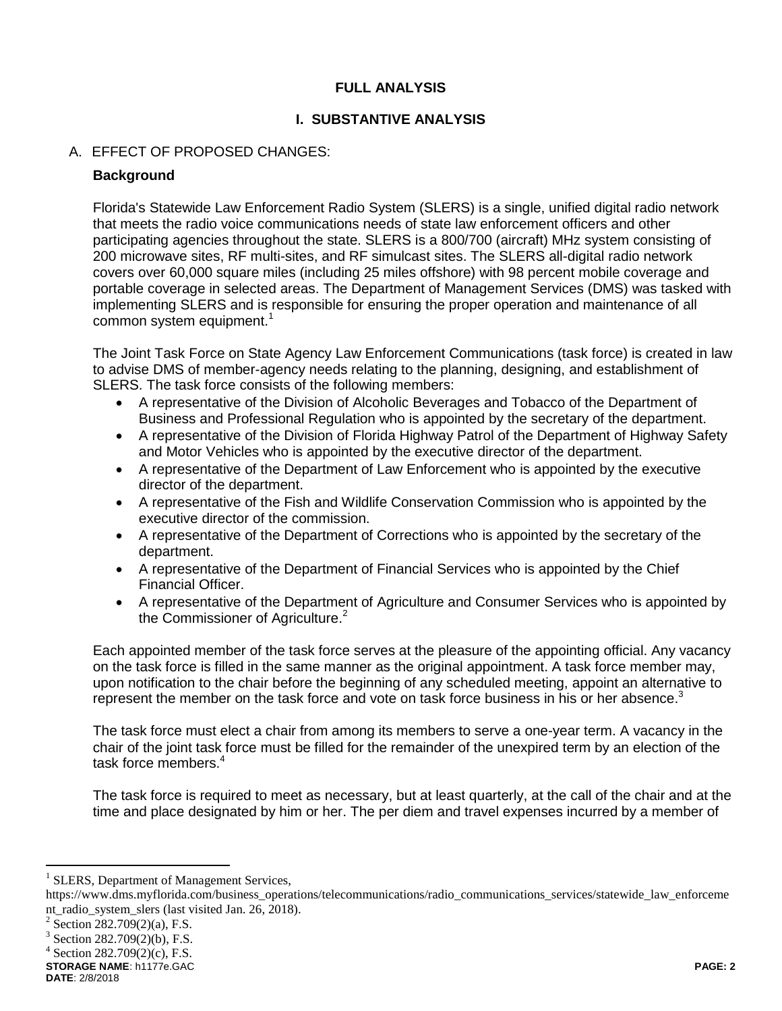# **FULL ANALYSIS**

# **I. SUBSTANTIVE ANALYSIS**

# A. EFFECT OF PROPOSED CHANGES:

## **Background**

Florida's Statewide Law Enforcement Radio System (SLERS) is a single, unified digital radio network that meets the radio voice communications needs of state law enforcement officers and other participating agencies throughout the state. SLERS is a 800/700 (aircraft) MHz system consisting of 200 microwave sites, RF multi-sites, and RF simulcast sites. The SLERS all-digital radio network covers over 60,000 square miles (including 25 miles offshore) with 98 percent mobile coverage and portable coverage in selected areas. The Department of Management Services (DMS) was tasked with implementing SLERS and is responsible for ensuring the proper operation and maintenance of all common system equipment.<sup>1</sup>

The Joint Task Force on State Agency Law Enforcement Communications (task force) is created in law to advise DMS of member-agency needs relating to the planning, designing, and establishment of SLERS. The task force consists of the following members:

- A representative of the Division of Alcoholic Beverages and Tobacco of the Department of Business and Professional Regulation who is appointed by the secretary of the department.
- A representative of the Division of Florida Highway Patrol of the Department of Highway Safety and Motor Vehicles who is appointed by the executive director of the department.
- A representative of the Department of Law Enforcement who is appointed by the executive director of the department.
- A representative of the Fish and Wildlife Conservation Commission who is appointed by the executive director of the commission.
- A representative of the Department of Corrections who is appointed by the secretary of the department.
- A representative of the Department of Financial Services who is appointed by the Chief Financial Officer.
- A representative of the Department of Agriculture and Consumer Services who is appointed by the Commissioner of Agriculture.<sup>2</sup>

Each appointed member of the task force serves at the pleasure of the appointing official. Any vacancy on the task force is filled in the same manner as the original appointment. A task force member may, upon notification to the chair before the beginning of any scheduled meeting, appoint an alternative to represent the member on the task force and vote on task force business in his or her absence.<sup>3</sup>

The task force must elect a chair from among its members to serve a one-year term. A vacancy in the chair of the joint task force must be filled for the remainder of the unexpired term by an election of the task force members.<sup>4</sup>

The task force is required to meet as necessary, but at least quarterly, at the call of the chair and at the time and place designated by him or her. The per diem and travel expenses incurred by a member of

 $\overline{a}$ 

 $4$  Section 282.709(2)(c), F.S.

**STORAGE NAME**: h1177e.GAC **PAGE: 2 DATE**: 2/8/2018

<sup>&</sup>lt;sup>1</sup> SLERS, Department of Management Services,

https://www.dms.myflorida.com/business\_operations/telecommunications/radio\_communications\_services/statewide\_law\_enforceme nt radio system slers (last visited Jan. 26, 2018).

<sup>&</sup>lt;sup>2</sup> Section 282.709(2)(a), F.S.

<sup>&</sup>lt;sup>3</sup> Section 282.709(2)(b), F.S.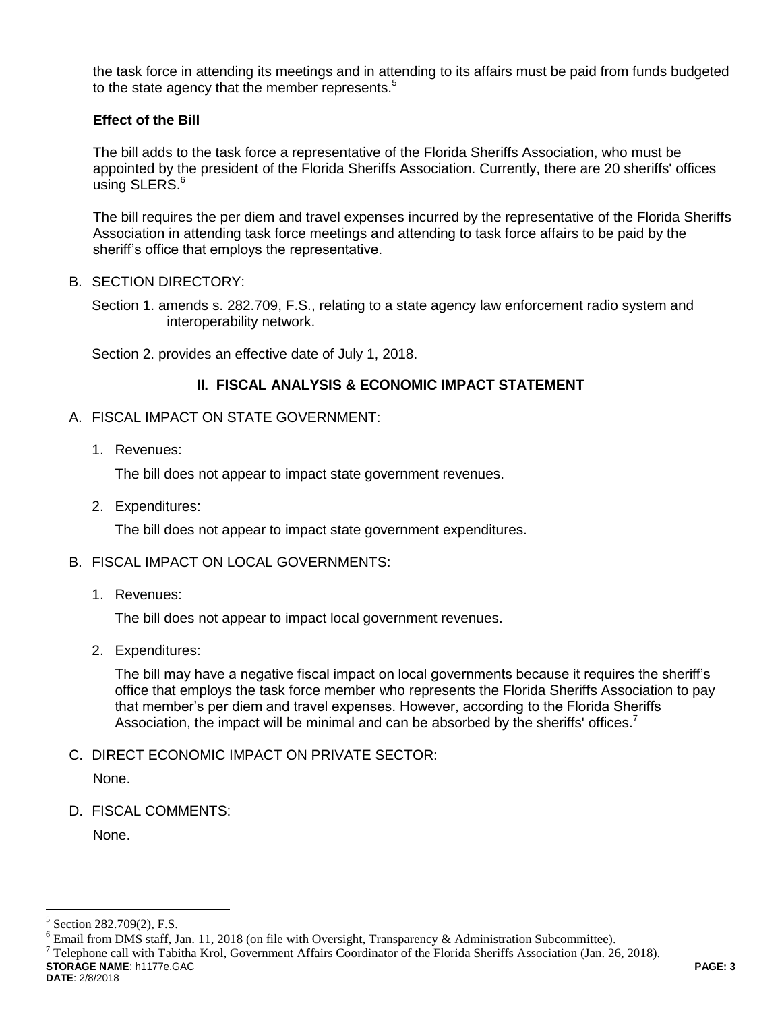the task force in attending its meetings and in attending to its affairs must be paid from funds budgeted to the state agency that the member represents.<sup>5</sup>

# **Effect of the Bill**

The bill adds to the task force a representative of the Florida Sheriffs Association, who must be appointed by the president of the Florida Sheriffs Association. Currently, there are 20 sheriffs' offices using SLERS.<sup>6</sup>

The bill requires the per diem and travel expenses incurred by the representative of the Florida Sheriffs Association in attending task force meetings and attending to task force affairs to be paid by the sheriff's office that employs the representative.

B. SECTION DIRECTORY:

Section 1. amends s. 282.709, F.S., relating to a state agency law enforcement radio system and interoperability network.

Section 2. provides an effective date of July 1, 2018.

## **II. FISCAL ANALYSIS & ECONOMIC IMPACT STATEMENT**

- A. FISCAL IMPACT ON STATE GOVERNMENT:
	- 1. Revenues:

The bill does not appear to impact state government revenues.

2. Expenditures:

The bill does not appear to impact state government expenditures.

#### B. FISCAL IMPACT ON LOCAL GOVERNMENTS:

1. Revenues:

The bill does not appear to impact local government revenues.

2. Expenditures:

The bill may have a negative fiscal impact on local governments because it requires the sheriff's office that employs the task force member who represents the Florida Sheriffs Association to pay that member's per diem and travel expenses. However, according to the Florida Sheriffs Association, the impact will be minimal and can be absorbed by the sheriffs' offices.<sup>7</sup>

C. DIRECT ECONOMIC IMPACT ON PRIVATE SECTOR:

None.

D. FISCAL COMMENTS:

None.

**STORAGE NAME**: h1177e.GAC **PAGE: 3**  $^7$  Telephone call with Tabitha Krol, Government Affairs Coordinator of the Florida Sheriffs Association (Jan. 26, 2018).

**DATE**: 2/8/2018

 $\overline{a}$ 

<sup>5</sup> Section 282.709(2), F.S.

 $6$  Email from DMS staff, Jan. 11, 2018 (on file with Oversight, Transparency & Administration Subcommittee).